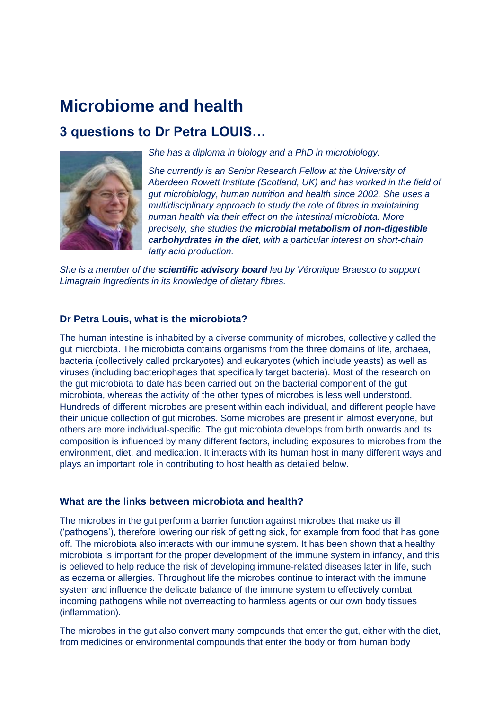# **Microbiome and health**

## **3 questions to Dr Petra LOUIS…**



*She has a diploma in biology and a PhD in microbiology.* 

*She currently is an Senior Research Fellow at the University of Aberdeen Rowett Institute (Scotland, UK) and has worked in the field of gut microbiology, human nutrition and health since 2002. She uses a multidisciplinary approach to study the role of fibres in maintaining human health via their effect on the intestinal microbiota. More precisely, she studies the microbial metabolism of non-digestible carbohydrates in the diet, with a particular interest on short-chain fatty acid production.* 

*She is a member of the scientific advisory board led by Véronique Braesco to support Limagrain Ingredients in its knowledge of dietary fibres.* 

#### **Dr Petra Louis, what is the microbiota?**

The human intestine is inhabited by a diverse community of microbes, collectively called the gut microbiota. The microbiota contains organisms from the three domains of life, archaea, bacteria (collectively called prokaryotes) and eukaryotes (which include yeasts) as well as viruses (including bacteriophages that specifically target bacteria). Most of the research on the gut microbiota to date has been carried out on the bacterial component of the gut microbiota, whereas the activity of the other types of microbes is less well understood. Hundreds of different microbes are present within each individual, and different people have their unique collection of gut microbes. Some microbes are present in almost everyone, but others are more individual-specific. The gut microbiota develops from birth onwards and its composition is influenced by many different factors, including exposures to microbes from the environment, diet, and medication. It interacts with its human host in many different ways and plays an important role in contributing to host health as detailed below.

#### **What are the links between microbiota and health?**

The microbes in the gut perform a barrier function against microbes that make us ill ('pathogens'), therefore lowering our risk of getting sick, for example from food that has gone off. The microbiota also interacts with our immune system. It has been shown that a healthy microbiota is important for the proper development of the immune system in infancy, and this is believed to help reduce the risk of developing immune-related diseases later in life, such as eczema or allergies. Throughout life the microbes continue to interact with the immune system and influence the delicate balance of the immune system to effectively combat incoming pathogens while not overreacting to harmless agents or our own body tissues (inflammation).

The microbes in the gut also convert many compounds that enter the gut, either with the diet, from medicines or environmental compounds that enter the body or from human body